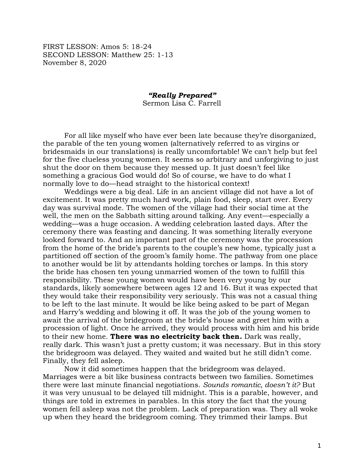FIRST LESSON: Amos 5: 18-24 SECOND LESSON: Matthew 25: 1-13 November 8, 2020

## *"Really Prepared"* Sermon Lisa C. Farrell

For all like myself who have ever been late because they're disorganized, the parable of the ten young women (alternatively referred to as virgins or bridesmaids in our translations) is really uncomfortable! We can't help but feel for the five clueless young women. It seems so arbitrary and unforgiving to just shut the door on them because they messed up. It just doesn't feel like something a gracious God would do! So of course, we have to do what I normally love to do—head straight to the historical context!

Weddings were a big deal. Life in an ancient village did not have a lot of excitement. It was pretty much hard work, plain food, sleep, start over. Every day was survival mode. The women of the village had their social time at the well, the men on the Sabbath sitting around talking. Any event—especially a wedding—was a huge occasion. A wedding celebration lasted days. After the ceremony there was feasting and dancing. It was something literally everyone looked forward to. And an important part of the ceremony was the procession from the home of the bride's parents to the couple's new home, typically just a partitioned off section of the groom's family home. The pathway from one place to another would be lit by attendants holding torches or lamps. In this story the bride has chosen ten young unmarried women of the town to fulfill this responsibility. These young women would have been very young by our standards, likely somewhere between ages 12 and 16. But it was expected that they would take their responsibility very seriously. This was not a casual thing to be left to the last minute. It would be like being asked to be part of Megan and Harry's wedding and blowing it off. It was the job of the young women to await the arrival of the bridegroom at the bride's house and greet him with a procession of light. Once he arrived, they would process with him and his bride to their new home. **There was no electricity back then.** Dark was really, really dark. This wasn't just a pretty custom; it was necessary. But in this story the bridegroom was delayed. They waited and waited but he still didn't come. Finally, they fell asleep.

Now it did sometimes happen that the bridegroom was delayed. Marriages were a bit like business contracts between two families. Sometimes there were last minute financial negotiations. *Sounds romantic, doesn't it?* But it was very unusual to be delayed till midnight. This is a parable, however, and things are told in extremes in parables. In this story the fact that the young women fell asleep was not the problem. Lack of preparation was. They all woke up when they heard the bridegroom coming. They trimmed their lamps. But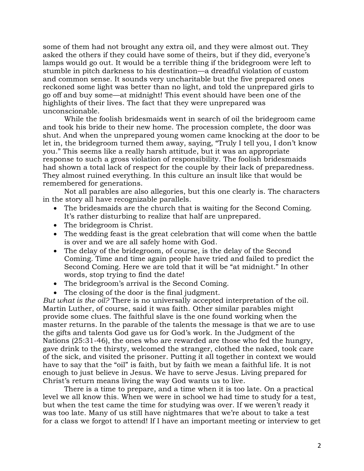some of them had not brought any extra oil, and they were almost out. They asked the others if they could have some of theirs, but if they did, everyone's lamps would go out. It would be a terrible thing if the bridegroom were left to stumble in pitch darkness to his destination—a dreadful violation of custom and common sense. It sounds very uncharitable but the five prepared ones reckoned some light was better than no light, and told the unprepared girls to go off and buy some—at midnight! This event should have been one of the highlights of their lives. The fact that they were unprepared was unconscionable.

While the foolish bridesmaids went in search of oil the bridegroom came and took his bride to their new home. The procession complete, the door was shut. And when the unprepared young women came knocking at the door to be let in, the bridegroom turned them away, saying, "Truly I tell you, I don't know you." This seems like a really harsh attitude, but it was an appropriate response to such a gross violation of responsibility. The foolish bridesmaids had shown a total lack of respect for the couple by their lack of preparedness. They almost ruined everything. In this culture an insult like that would be remembered for generations.

Not all parables are also allegories, but this one clearly is. The characters in the story all have recognizable parallels.

- The bridesmaids are the church that is waiting for the Second Coming. It's rather disturbing to realize that half are unprepared.
- The bridegroom is Christ.
- The wedding feast is the great celebration that will come when the battle is over and we are all safely home with God.
- The delay of the bridegroom, of course, is the delay of the Second Coming. Time and time again people have tried and failed to predict the Second Coming. Here we are told that it will be "at midnight." In other words, stop trying to find the date!
- The bridegroom's arrival is the Second Coming.
- The closing of the door is the final judgment.

*But what is the oil?* There is no universally accepted interpretation of the oil. Martin Luther, of course, said it was faith. Other similar parables might provide some clues. The faithful slave is the one found working when the master returns. In the parable of the talents the message is that we are to use the gifts and talents God gave us for God's work. In the Judgment of the Nations (25:31-46), the ones who are rewarded are those who fed the hungry, gave drink to the thirsty, welcomed the stranger, clothed the naked, took care of the sick, and visited the prisoner. Putting it all together in context we would have to say that the "oil" is faith, but by faith we mean a faithful life. It is not enough to just believe in Jesus. We have to serve Jesus. Living prepared for Christ's return means living the way God wants us to live.

There is a time to prepare, and a time when it is too late. On a practical level we all know this. When we were in school we had time to study for a test, but when the test came the time for studying was over. If we weren't ready it was too late. Many of us still have nightmares that we're about to take a test for a class we forgot to attend! If I have an important meeting or interview to get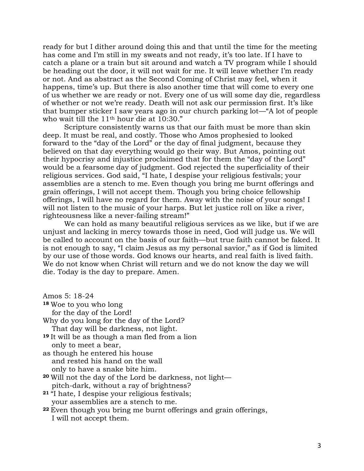ready for but I dither around doing this and that until the time for the meeting has come and I'm still in my sweats and not ready, it's too late. If I have to catch a plane or a train but sit around and watch a TV program while I should be heading out the door, it will not wait for me. It will leave whether I'm ready or not. And as abstract as the Second Coming of Christ may feel, when it happens, time's up. But there is also another time that will come to every one of us whether we are ready or not. Every one of us will some day die, regardless of whether or not we're ready. Death will not ask our permission first. It's like that bumper sticker I saw years ago in our church parking lot—"A lot of people who wait till the 11<sup>th</sup> hour die at 10:30."

Scripture consistently warns us that our faith must be more than skin deep. It must be real, and costly. Those who Amos prophesied to looked forward to the "day of the Lord" or the day of final judgment, because they believed on that day everything would go their way. But Amos, pointing out their hypocrisy and injustice proclaimed that for them the "day of the Lord" would be a fearsome day of judgment. God rejected the superficiality of their religious services. God said, "I hate, I despise your religious festivals; your assemblies are a stench to me. Even though you bring me burnt offerings and grain offerings, I will not accept them. Though you bring choice fellowship offerings, I will have no regard for them. Away with the noise of your songs! I will not listen to the music of your harps. But let justice roll on like a river, righteousness like a never-failing stream!"

We can hold as many beautiful religious services as we like, but if we are unjust and lacking in mercy towards those in need, God will judge us. We will be called to account on the basis of our faith—but true faith cannot be faked. It is not enough to say, "I claim Jesus as my personal savior," as if God is limited by our use of those words. God knows our hearts, and real faith is lived faith. We do not know when Christ will return and we do not know the day we will die. Today is the day to prepare. Amen.

| Amos 5: 18-24 |  |  |
|---------------|--|--|
|---------------|--|--|

- **<sup>18</sup>** Woe to you who long
	- for the day of the Lord!
- Why do you long for the day of the Lord?
- That day will be darkness, not light.
- **<sup>19</sup>** It will be as though a man fled from a lion only to meet a bear,

as though he entered his house and rested his hand on the wall only to have a snake bite him.

- **<sup>20</sup>** Will not the day of the Lord be darkness, not light pitch-dark, without a ray of brightness?
- **<sup>21</sup>** "I hate, I despise your religious festivals; your assemblies are a stench to me.
- **<sup>22</sup>** Even though you bring me burnt offerings and grain offerings, I will not accept them.